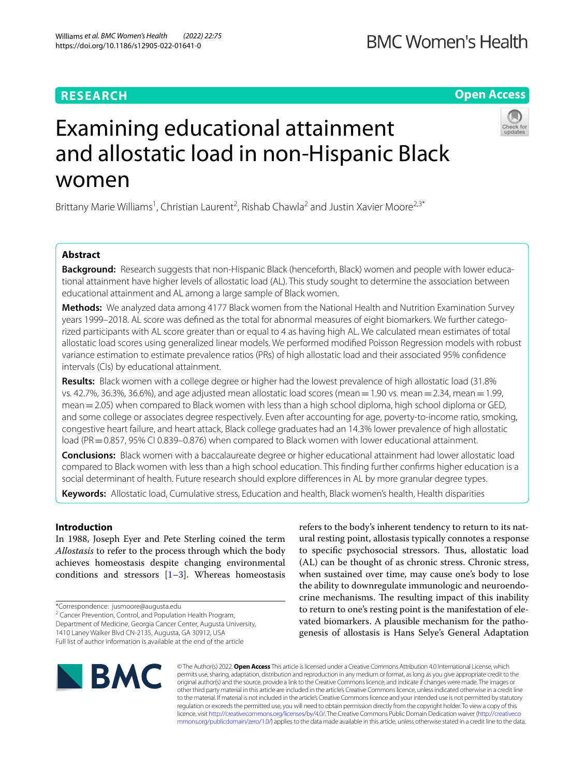## **RESEARCH**

**Open Access**

# Examining educational attainment and allostatic load in non-Hispanic Black women

Brittany Marie Williams<sup>1</sup>, Christian Laurent<sup>2</sup>, Rishab Chawla<sup>2</sup> and Justin Xavier Moore<sup>2,3\*</sup>

## **Abstract**

**Background:** Research suggests that non-Hispanic Black (henceforth, Black) women and people with lower educational attainment have higher levels of allostatic load (AL). This study sought to determine the association between educational attainment and AL among a large sample of Black women.

**Methods:** We analyzed data among 4177 Black women from the National Health and Nutrition Examination Survey years 1999–2018. AL score was defned as the total for abnormal measures of eight biomarkers. We further categorized participants with AL score greater than or equal to 4 as having high AL. We calculated mean estimates of total allostatic load scores using generalized linear models. We performed modifed Poisson Regression models with robust variance estimation to estimate prevalence ratios (PRs) of high allostatic load and their associated 95% confdence intervals (CIs) by educational attainment.

**Results:** Black women with a college degree or higher had the lowest prevalence of high allostatic load (31.8% vs. 42.7%, 36.3%, 36.6%), and age adjusted mean allostatic load scores (mean  $=1.90$  vs. mean  $=2.34$ , mean  $=1.99$ , mean = 2.05) when compared to Black women with less than a high school diploma, high school diploma or GED, and some college or associates degree respectively. Even after accounting for age, poverty-to-income ratio, smoking, congestive heart failure, and heart attack, Black college graduates had an 14.3% lower prevalence of high allostatic load (PR=0.857, 95% CI 0.839-0.876) when compared to Black women with lower educational attainment.

**Conclusions:** Black women with a baccalaureate degree or higher educational attainment had lower allostatic load compared to Black women with less than a high school education. This fnding further confrms higher education is a social determinant of health. Future research should explore diferences in AL by more granular degree types.

**Keywords:** Allostatic load, Cumulative stress, Education and health, Black women's health, Health disparities

## **Introduction**

In 1988, Joseph Eyer and Pete Sterling coined the term *Allostasis* to refer to the process through which the body achieves homeostasis despite changing environmental conditions and stressors  $[1-3]$  $[1-3]$ . Whereas homeostasis

\*Correspondence: jusmoore@augusta.edu

<sup>2</sup> Cancer Prevention, Control, and Population Health Program,

Department of Medicine, Georgia Cancer Center, Augusta University,

1410 Laney Walker Blvd CN-2135, Augusta, GA 30912, USA Full list of author information is available at the end of the article refers to the body's inherent tendency to return to its natural resting point, allostasis typically connotes a response to specifc psychosocial stressors. Tus, allostatic load (AL) can be thought of as chronic stress. Chronic stress, when sustained over time, may cause one's body to lose the ability to downregulate immunologic and neuroendocrine mechanisms. The resulting impact of this inability to return to one's resting point is the manifestation of elevated biomarkers. A plausible mechanism for the pathogenesis of allostasis is Hans Selye's General Adaptation



© The Author(s) 2022. **Open Access** This article is licensed under a Creative Commons Attribution 4.0 International License, which permits use, sharing, adaptation, distribution and reproduction in any medium or format, as long as you give appropriate credit to the original author(s) and the source, provide a link to the Creative Commons licence, and indicate if changes were made. The images or other third party material in this article are included in the article's Creative Commons licence, unless indicated otherwise in a credit line to the material. If material is not included in the article's Creative Commons licence and your intended use is not permitted by statutory regulation or exceeds the permitted use, you will need to obtain permission directly from the copyright holder. To view a copy of this licence, visit [http://creativecommons.org/licenses/by/4.0/.](http://creativecommons.org/licenses/by/4.0/) The Creative Commons Public Domain Dedication waiver ([http://creativeco](http://creativecommons.org/publicdomain/zero/1.0/) [mmons.org/publicdomain/zero/1.0/](http://creativecommons.org/publicdomain/zero/1.0/)) applies to the data made available in this article, unless otherwise stated in a credit line to the data.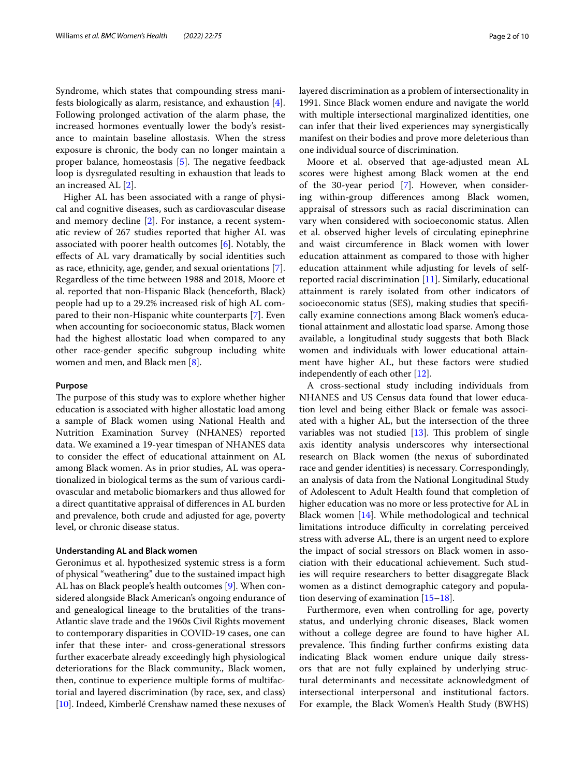Syndrome, which states that compounding stress manifests biologically as alarm, resistance, and exhaustion [\[4](#page-8-2)]. Following prolonged activation of the alarm phase, the increased hormones eventually lower the body's resistance to maintain baseline allostasis. When the stress exposure is chronic, the body can no longer maintain a proper balance, homeostasis  $[5]$  $[5]$ . The negative feedback loop is dysregulated resulting in exhaustion that leads to an increased AL [\[2](#page-8-4)].

Higher AL has been associated with a range of physical and cognitive diseases, such as cardiovascular disease and memory decline [\[2\]](#page-8-4). For instance, a recent systematic review of 267 studies reported that higher AL was associated with poorer health outcomes [\[6](#page-8-5)]. Notably, the efects of AL vary dramatically by social identities such as race, ethnicity, age, gender, and sexual orientations [\[7](#page-8-6)]. Regardless of the time between 1988 and 2018, Moore et al. reported that non-Hispanic Black (henceforth, Black) people had up to a 29.2% increased risk of high AL compared to their non-Hispanic white counterparts [[7\]](#page-8-6). Even when accounting for socioeconomic status, Black women had the highest allostatic load when compared to any other race-gender specifc subgroup including white women and men, and Black men [\[8](#page-8-7)].

## **Purpose**

The purpose of this study was to explore whether higher education is associated with higher allostatic load among a sample of Black women using National Health and Nutrition Examination Survey (NHANES) reported data. We examined a 19-year timespan of NHANES data to consider the efect of educational attainment on AL among Black women. As in prior studies, AL was operationalized in biological terms as the sum of various cardiovascular and metabolic biomarkers and thus allowed for a direct quantitative appraisal of diferences in AL burden and prevalence, both crude and adjusted for age, poverty level, or chronic disease status.

## **Understanding AL and Black women**

Geronimus et al. hypothesized systemic stress is a form of physical "weathering" due to the sustained impact high AL has on Black people's health outcomes [\[9\]](#page-8-8). When considered alongside Black American's ongoing endurance of and genealogical lineage to the brutalities of the trans-Atlantic slave trade and the 1960s Civil Rights movement to contemporary disparities in COVID-19 cases, one can infer that these inter- and cross-generational stressors further exacerbate already exceedingly high physiological deteriorations for the Black community., Black women, then, continue to experience multiple forms of multifactorial and layered discrimination (by race, sex, and class) [[10\]](#page-8-9). Indeed, Kimberlé Crenshaw named these nexuses of layered discrimination as a problem of intersectionality in 1991. Since Black women endure and navigate the world with multiple intersectional marginalized identities, one can infer that their lived experiences may synergistically manifest on their bodies and prove more deleterious than one individual source of discrimination.

Moore et al. observed that age-adjusted mean AL scores were highest among Black women at the end of the 30-year period [\[7\]](#page-8-6). However, when considering within-group diferences among Black women, appraisal of stressors such as racial discrimination can vary when considered with socioeconomic status. Allen et al. observed higher levels of circulating epinephrine and waist circumference in Black women with lower education attainment as compared to those with higher education attainment while adjusting for levels of selfreported racial discrimination [[11\]](#page-9-0). Similarly, educational attainment is rarely isolated from other indicators of socioeconomic status (SES), making studies that specifcally examine connections among Black women's educational attainment and allostatic load sparse. Among those available, a longitudinal study suggests that both Black women and individuals with lower educational attainment have higher AL, but these factors were studied independently of each other [\[12](#page-9-1)].

A cross-sectional study including individuals from NHANES and US Census data found that lower education level and being either Black or female was associated with a higher AL, but the intersection of the three variables was not studied  $[13]$  $[13]$ . This problem of single axis identity analysis underscores why intersectional research on Black women (the nexus of subordinated race and gender identities) is necessary. Correspondingly, an analysis of data from the National Longitudinal Study of Adolescent to Adult Health found that completion of higher education was no more or less protective for AL in Black women [[14](#page-9-3)]. While methodological and technical limitations introduce difficulty in correlating perceived stress with adverse AL, there is an urgent need to explore the impact of social stressors on Black women in association with their educational achievement. Such studies will require researchers to better disaggregate Black women as a distinct demographic category and population deserving of examination [\[15–](#page-9-4)[18\]](#page-9-5).

Furthermore, even when controlling for age, poverty status, and underlying chronic diseases, Black women without a college degree are found to have higher AL prevalence. This finding further confirms existing data indicating Black women endure unique daily stressors that are not fully explained by underlying structural determinants and necessitate acknowledgment of intersectional interpersonal and institutional factors. For example, the Black Women's Health Study (BWHS)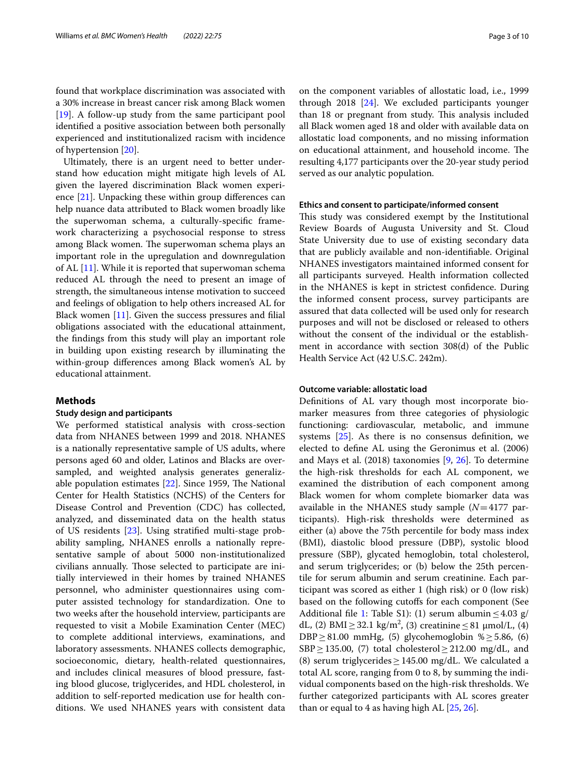found that workplace discrimination was associated with a 30% increase in breast cancer risk among Black women [[19\]](#page-9-6). A follow-up study from the same participant pool identifed a positive association between both personally experienced and institutionalized racism with incidence of hypertension [\[20](#page-9-7)].

Ultimately, there is an urgent need to better understand how education might mitigate high levels of AL given the layered discrimination Black women experience [[21\]](#page-9-8). Unpacking these within group diferences can help nuance data attributed to Black women broadly like the superwoman schema, a culturally-specifc framework characterizing a psychosocial response to stress among Black women. The superwoman schema plays an important role in the upregulation and downregulation of AL [\[11](#page-9-0)]. While it is reported that superwoman schema reduced AL through the need to present an image of strength, the simultaneous intense motivation to succeed and feelings of obligation to help others increased AL for Black women  $[11]$  $[11]$ . Given the success pressures and filial obligations associated with the educational attainment, the fndings from this study will play an important role in building upon existing research by illuminating the within-group diferences among Black women's AL by educational attainment.

## **Methods**

## **Study design and participants**

We performed statistical analysis with cross-section data from NHANES between 1999 and 2018. NHANES is a nationally representative sample of US adults, where persons aged 60 and older, Latinos and Blacks are oversampled, and weighted analysis generates generalizable population estimates  $[22]$  $[22]$  $[22]$ . Since 1959, The National Center for Health Statistics (NCHS) of the Centers for Disease Control and Prevention (CDC) has collected, analyzed, and disseminated data on the health status of US residents [[23](#page-9-10)]. Using stratifed multi-stage probability sampling, NHANES enrolls a nationally representative sample of about 5000 non-institutionalized civilians annually. Those selected to participate are initially interviewed in their homes by trained NHANES personnel, who administer questionnaires using computer assisted technology for standardization. One to two weeks after the household interview, participants are requested to visit a Mobile Examination Center (MEC) to complete additional interviews, examinations, and laboratory assessments. NHANES collects demographic, socioeconomic, dietary, health-related questionnaires, and includes clinical measures of blood pressure, fasting blood glucose, triglycerides, and HDL cholesterol, in addition to self-reported medication use for health conditions. We used NHANES years with consistent data on the component variables of allostatic load, i.e., 1999 through 2018 [[24](#page-9-11)]. We excluded participants younger than 18 or pregnant from study. This analysis included all Black women aged 18 and older with available data on allostatic load components, and no missing information on educational attainment, and household income. The resulting 4,177 participants over the 20-year study period served as our analytic population.

## **Ethics and consent to participate/informed consent**

This study was considered exempt by the Institutional Review Boards of Augusta University and St. Cloud State University due to use of existing secondary data that are publicly available and non-identifable. Original NHANES investigators maintained informed consent for all participants surveyed. Health information collected in the NHANES is kept in strictest confdence. During the informed consent process, survey participants are assured that data collected will be used only for research purposes and will not be disclosed or released to others without the consent of the individual or the establishment in accordance with section 308(d) of the Public Health Service Act (42 U.S.C. 242m).

## **Outcome variable: allostatic load**

Defnitions of AL vary though most incorporate biomarker measures from three categories of physiologic functioning: cardiovascular, metabolic, and immune systems  $[25]$  $[25]$ . As there is no consensus definition, we elected to defne AL using the Geronimus et al. (2006) and Mays et al. (2018) taxonomies [\[9](#page-8-8), [26](#page-9-13)]. To determine the high-risk thresholds for each AL component, we examined the distribution of each component among Black women for whom complete biomarker data was available in the NHANES study sample (*N*=4177 participants). High-risk thresholds were determined as either (a) above the 75th percentile for body mass index (BMI), diastolic blood pressure (DBP), systolic blood pressure (SBP), glycated hemoglobin, total cholesterol, and serum triglycerides; or (b) below the 25th percentile for serum albumin and serum creatinine. Each participant was scored as either 1 (high risk) or 0 (low risk) based on the following cutofs for each component (See Additional file [1](#page-8-10): Table S1): (1) serum albumin  $\leq$  4.03 g/ dL, (2) BMI ≥ 32.1 kg/m<sup>2</sup>, (3) creatinine ≤ 81 µmol/L, (4) DBP  $\geq$  81.00 mmHg, (5) glycohemoglobin % $\geq$  5.86, (6)  $SBP \ge 135.00$ , (7) total cholesterol  $\ge 212.00$  mg/dL, and (8) serum triglycerides  $\geq$  145.00 mg/dL. We calculated a total AL score, ranging from 0 to 8, by summing the individual components based on the high-risk thresholds. We further categorized participants with AL scores greater than or equal to 4 as having high AL [[25,](#page-9-12) [26\]](#page-9-13).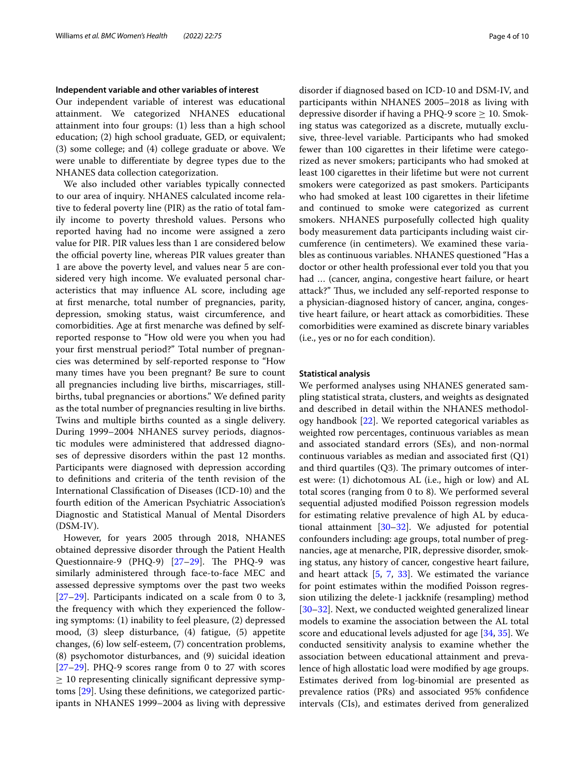## **Independent variable and other variables of interest**

Our independent variable of interest was educational attainment. We categorized NHANES educational attainment into four groups: (1) less than a high school education; (2) high school graduate, GED, or equivalent; (3) some college; and (4) college graduate or above. We were unable to diferentiate by degree types due to the NHANES data collection categorization.

We also included other variables typically connected to our area of inquiry. NHANES calculated income relative to federal poverty line (PIR) as the ratio of total family income to poverty threshold values. Persons who reported having had no income were assigned a zero value for PIR. PIR values less than 1 are considered below the official poverty line, whereas PIR values greater than 1 are above the poverty level, and values near 5 are considered very high income. We evaluated personal characteristics that may infuence AL score, including age at frst menarche, total number of pregnancies, parity, depression, smoking status, waist circumference, and comorbidities. Age at frst menarche was defned by selfreported response to "How old were you when you had your frst menstrual period?" Total number of pregnancies was determined by self-reported response to "How many times have you been pregnant? Be sure to count all pregnancies including live births, miscarriages, stillbirths, tubal pregnancies or abortions." We defned parity as the total number of pregnancies resulting in live births. Twins and multiple births counted as a single delivery. During 1999–2004 NHANES survey periods, diagnostic modules were administered that addressed diagnoses of depressive disorders within the past 12 months. Participants were diagnosed with depression according to defnitions and criteria of the tenth revision of the International Classifcation of Diseases (ICD-10) and the fourth edition of the American Psychiatric Association's Diagnostic and Statistical Manual of Mental Disorders (DSM-IV).

However, for years 2005 through 2018, NHANES obtained depressive disorder through the Patient Health Questionnaire-9 (PHQ-9)  $[27-29]$  $[27-29]$ . The PHQ-9 was similarly administered through face-to-face MEC and assessed depressive symptoms over the past two weeks  $[27–29]$  $[27–29]$  $[27–29]$  $[27–29]$ . Participants indicated on a scale from 0 to 3, the frequency with which they experienced the following symptoms: (1) inability to feel pleasure, (2) depressed mood, (3) sleep disturbance, (4) fatigue, (5) appetite changes, (6) low self-esteem, (7) concentration problems, (8) psychomotor disturbances, and (9) suicidal ideation [[27–](#page-9-14)[29](#page-9-15)]. PHQ-9 scores range from 0 to 27 with scores  $\geq$  10 representing clinically significant depressive symptoms [[29\]](#page-9-15). Using these defnitions, we categorized participants in NHANES 1999–2004 as living with depressive disorder if diagnosed based on ICD-10 and DSM-IV, and participants within NHANES 2005–2018 as living with depressive disorder if having a PHQ-9 score  $\geq$  10. Smoking status was categorized as a discrete, mutually exclusive, three-level variable. Participants who had smoked fewer than 100 cigarettes in their lifetime were categorized as never smokers; participants who had smoked at least 100 cigarettes in their lifetime but were not current smokers were categorized as past smokers. Participants who had smoked at least 100 cigarettes in their lifetime and continued to smoke were categorized as current smokers. NHANES purposefully collected high quality body measurement data participants including waist circumference (in centimeters). We examined these variables as continuous variables. NHANES questioned "Has a doctor or other health professional ever told you that you had … (cancer, angina, congestive heart failure, or heart attack?" Thus, we included any self-reported response to a physician-diagnosed history of cancer, angina, congestive heart failure, or heart attack as comorbidities. These comorbidities were examined as discrete binary variables (i.e., yes or no for each condition).

## **Statistical analysis**

We performed analyses using NHANES generated sampling statistical strata, clusters, and weights as designated and described in detail within the NHANES methodology handbook [[22\]](#page-9-9). We reported categorical variables as weighted row percentages, continuous variables as mean and associated standard errors (SEs), and non-normal continuous variables as median and associated frst (Q1) and third quartiles  $(Q3)$ . The primary outcomes of interest were: (1) dichotomous AL (i.e., high or low) and AL total scores (ranging from 0 to 8). We performed several sequential adjusted modifed Poisson regression models for estimating relative prevalence of high AL by educational attainment [[30–](#page-9-16)[32](#page-9-17)]. We adjusted for potential confounders including: age groups, total number of pregnancies, age at menarche, PIR, depressive disorder, smoking status, any history of cancer, congestive heart failure, and heart attack [\[5](#page-8-3), [7,](#page-8-6) [33\]](#page-9-18). We estimated the variance for point estimates within the modifed Poisson regression utilizing the delete-1 jackknife (resampling) method [[30–](#page-9-16)[32\]](#page-9-17). Next, we conducted weighted generalized linear models to examine the association between the AL total score and educational levels adjusted for age [\[34](#page-9-19), [35\]](#page-9-20). We conducted sensitivity analysis to examine whether the association between educational attainment and prevalence of high allostatic load were modifed by age groups. Estimates derived from log-binomial are presented as prevalence ratios (PRs) and associated 95% confdence intervals (CIs), and estimates derived from generalized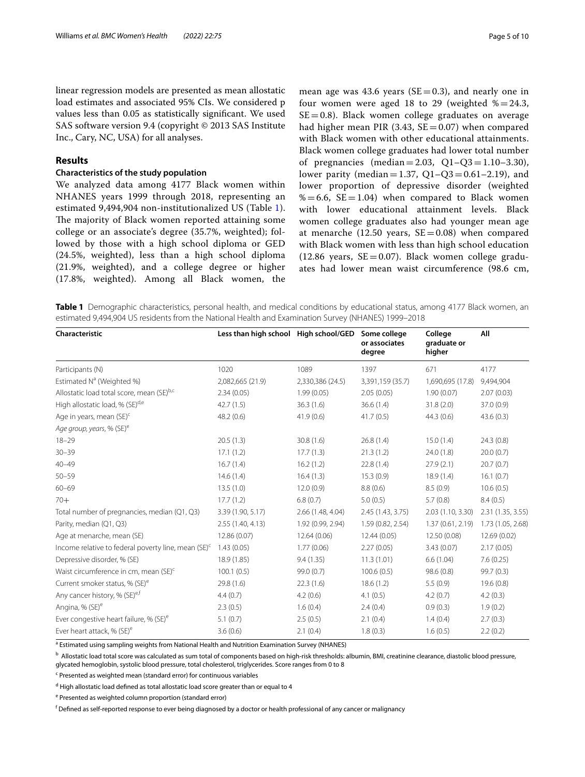linear regression models are presented as mean allostatic load estimates and associated 95% CIs. We considered p values less than 0.05 as statistically signifcant. We used SAS software version 9.4 (copyright © 2013 SAS Institute Inc., Cary, NC, USA) for all analyses.

## **Results**

## **Characteristics of the study population**

We analyzed data among 4177 Black women within NHANES years 1999 through 2018, representing an estimated 9,494,904 non-institutionalized US (Table [1\)](#page-4-0). The majority of Black women reported attaining some college or an associate's degree (35.7%, weighted); followed by those with a high school diploma or GED (24.5%, weighted), less than a high school diploma (21.9%, weighted), and a college degree or higher (17.8%, weighted). Among all Black women, the

mean age was 43.6 years ( $SE=0.3$ ), and nearly one in four women were aged 18 to 29 (weighted  $\% = 24.3$ ,  $SE = 0.8$ ). Black women college graduates on average had higher mean PIR (3.43,  $SE = 0.07$ ) when compared with Black women with other educational attainments. Black women college graduates had lower total number of pregnancies (median=2.03, Q1–Q3=1.10–3.30), lower parity (median = 1.37,  $Q1-Q3 = 0.61-2.19$ ), and lower proportion of depressive disorder (weighted  $% = 6.6$ , SE = 1.04) when compared to Black women with lower educational attainment levels. Black women college graduates also had younger mean age at menarche (12.50 years,  $SE = 0.08$ ) when compared with Black women with less than high school education (12.86 years,  $SE = 0.07$ ). Black women college graduates had lower mean waist circumference (98.6 cm,

<span id="page-4-0"></span>**Table 1** Demographic characteristics, personal health, and medical conditions by educational status, among 4177 Black women, an estimated 9,494,904 US residents from the National Health and Examination Survey (NHANES) 1999–2018

| Characteristic                                                  | Less than high school High school/GED |                   | Some college<br>or associates<br>degree | College<br>graduate or<br>higher | All               |
|-----------------------------------------------------------------|---------------------------------------|-------------------|-----------------------------------------|----------------------------------|-------------------|
| Participants (N)                                                | 1020                                  | 1089              | 1397                                    | 671                              | 4177              |
| Estimated N <sup>a</sup> (Weighted %)                           | 2,082,665 (21.9)                      | 2,330,386 (24.5)  | 3,391,159 (35.7)                        | 1,690,695 (17.8)                 | 9,494,904         |
| Allostatic load total score, mean (SE)b,c                       | 2.34(0.05)                            | 1.99(0.05)        | 2.05(0.05)                              | 1.90(0.07)                       | 2.07(0.03)        |
| High allostatic load, % (SE) <sup>d,e</sup>                     | 42.7(1.5)                             | 36.3(1.6)         | 36.6(1.4)                               | 31.8(2.0)                        | 37.0 (0.9)        |
| Age in years, mean (SE) <sup>c</sup>                            | 48.2(0.6)                             | 41.9(0.6)         | 41.7(0.5)                               | 44.3(0.6)                        | 43.6(0.3)         |
| Age group, years, % (SE) <sup>e</sup>                           |                                       |                   |                                         |                                  |                   |
| $18 - 29$                                                       | 20.5(1.3)                             | 30.8(1.6)         | 26.8(1.4)                               | 15.0(1.4)                        | 24.3(0.8)         |
| $30 - 39$                                                       | 17.1(1.2)                             | 17.7(1.3)         | 21.3(1.2)                               | 24.0 (1.8)                       | 20.0(0.7)         |
| $40 - 49$                                                       | 16.7(1.4)                             | 16.2(1.2)         | 22.8(1.4)                               | 27.9(2.1)                        | 20.7(0.7)         |
| $50 - 59$                                                       | 14.6(1.4)                             | 16.4(1.3)         | 15.3(0.9)                               | 18.9(1.4)                        | 16.1(0.7)         |
| $60 - 69$                                                       | 13.5(1.0)                             | 12.0(0.9)         | 8.8(0.6)                                | 8.5(0.9)                         | 10.6(0.5)         |
| $70+$                                                           | 17.7(1.2)                             | 6.8(0.7)          | 5.0(0.5)                                | 5.7(0.8)                         | 8.4(0.5)          |
| Total number of pregnancies, median (Q1, Q3)                    | 3.39 (1.90, 5.17)                     | 2.66 (1.48, 4.04) | 2.45 (1.43, 3.75)                       | 2.03 (1.10, 3.30)                | 2.31 (1.35, 3.55) |
| Parity, median (Q1, Q3)                                         | 2.55 (1.40, 4.13)                     | 1.92 (0.99, 2.94) | 1.59 (0.82, 2.54)                       | 1.37(0.61, 2.19)                 | 1.73 (1.05, 2.68) |
| Age at menarche, mean (SE)                                      | 12.86 (0.07)                          | 12.64 (0.06)      | 12.44 (0.05)                            | 12.50 (0.08)                     | 12.69 (0.02)      |
| Income relative to federal poverty line, mean (SE) <sup>c</sup> | 1.43(0.05)                            | 1.77(0.06)        | 2.27(0.05)                              | 3.43(0.07)                       | 2.17(0.05)        |
| Depressive disorder, % (SE)                                     | 18.9 (1.85)                           | 9.4(1.35)         | 11.3(1.01)                              | 6.6(1.04)                        | 7.6(0.25)         |
| Waist circumference in cm, mean (SE) <sup>c</sup>               | 100.1(0.5)                            | 99.0 (0.7)        | 100.6(0.5)                              | 98.6 (0.8)                       | 99.7 (0.3)        |
| Current smoker status, % (SE) <sup>e</sup>                      | 29.8 (1.6)                            | 22.3(1.6)         | 18.6(1.2)                               | 5.5(0.9)                         | 19.6(0.8)         |
| Any cancer history, % (SE) <sup>e,f</sup>                       | 4.4(0.7)                              | 4.2(0.6)          | 4.1(0.5)                                | 4.2(0.7)                         | 4.2(0.3)          |
| Angina, % (SE) <sup>e</sup>                                     | 2.3(0.5)                              | 1.6(0.4)          | 2.4(0.4)                                | 0.9(0.3)                         | 1.9(0.2)          |
| Ever congestive heart failure, % (SE) <sup>e</sup>              | 5.1(0.7)                              | 2.5(0.5)          | 2.1(0.4)                                | 1.4(0.4)                         | 2.7(0.3)          |
| Ever heart attack, % (SE) <sup>e</sup>                          | 3.6(0.6)                              | 2.1(0.4)          | 1.8(0.3)                                | 1.6(0.5)                         | 2.2(0.2)          |

<sup>a</sup> Estimated using sampling weights from National Health and Nutrition Examination Survey (NHANES)

**b** Allostatic load total score was calculated as sum total of components based on high-risk thresholds: albumin, BMI, creatinine clearance, diastolic blood pressure, glycated hemoglobin, systolic blood pressure, total cholesterol, triglycerides. Score ranges from 0 to 8

<sup>c</sup> Presented as weighted mean (standard error) for continuous variables

<sup>d</sup> High allostatic load defined as total allostatic load score greater than or equal to 4

<sup>e</sup> Presented as weighted column proportion (standard error)

f Defned as self-reported response to ever being diagnosed by a doctor or health professional of any cancer or malignancy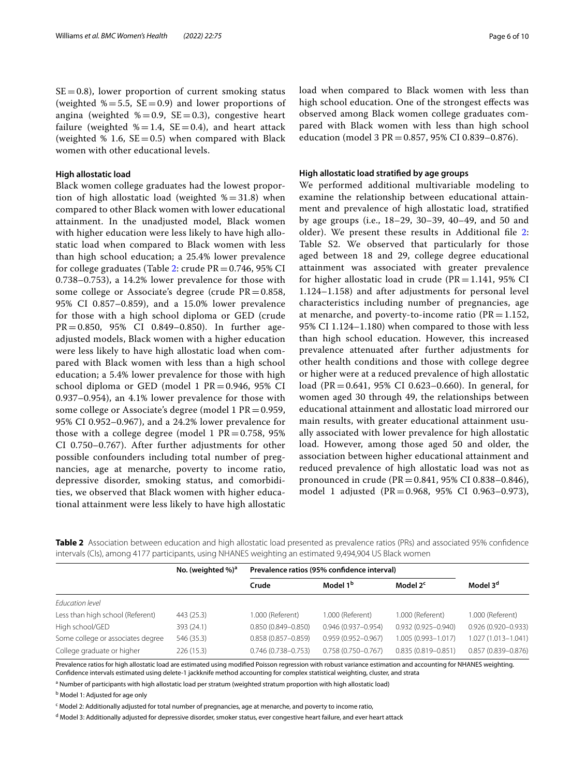$SE = 0.8$ ), lower proportion of current smoking status (weighted  $\% = 5.5$ , SE = 0.9) and lower proportions of angina (weighted  $\% = 0.9$ , SE = 0.3), congestive heart failure (weighted  $\% = 1.4$ , SE = 0.4), and heart attack (weighted  $% 1.6, SE = 0.5$ ) when compared with Black women with other educational levels.

## **High allostatic load**

Black women college graduates had the lowest proportion of high allostatic load (weighted  $\% = 31.8$ ) when compared to other Black women with lower educational attainment. In the unadjusted model, Black women with higher education were less likely to have high allostatic load when compared to Black women with less than high school education; a 25.4% lower prevalence for college graduates (Table [2:](#page-5-0) crude  $PR = 0.746$ , 95% CI 0.738–0.753), a 14.2% lower prevalence for those with some college or Associate's degree (crude  $PR = 0.858$ , 95% CI 0.857–0.859), and a 15.0% lower prevalence for those with a high school diploma or GED (crude PR=0.850, 95% CI 0.849–0.850). In further ageadjusted models, Black women with a higher education were less likely to have high allostatic load when compared with Black women with less than a high school education; a 5.4% lower prevalence for those with high school diploma or GED (model 1 PR=0.946, 95% CI 0.937–0.954), an 4.1% lower prevalence for those with some college or Associate's degree (model 1  $PR = 0.959$ , 95% CI 0.952–0.967), and a 24.2% lower prevalence for those with a college degree (model 1  $PR = 0.758$ , 95% CI 0.750–0.767). After further adjustments for other possible confounders including total number of pregnancies, age at menarche, poverty to income ratio, depressive disorder, smoking status, and comorbidities, we observed that Black women with higher educational attainment were less likely to have high allostatic load when compared to Black women with less than high school education. One of the strongest efects was observed among Black women college graduates compared with Black women with less than high school education (model 3 PR=0.857, 95% CI 0.839–0.876).

## **High allostatic load stratifed by age groups**

We performed additional multivariable modeling to examine the relationship between educational attainment and prevalence of high allostatic load, stratifed by age groups (i.e., 18–29, 30–39, 40–49, and 50 and older). We present these results in Additional fle [2](#page-8-11): Table S2. We observed that particularly for those aged between 18 and 29, college degree educational attainment was associated with greater prevalence for higher allostatic load in crude ( $PR = 1.141$ , 95% CI 1.124–1.158) and after adjustments for personal level characteristics including number of pregnancies, age at menarche, and poverty-to-income ratio ( $PR = 1.152$ , 95% CI 1.124–1.180) when compared to those with less than high school education. However, this increased prevalence attenuated after further adjustments for other health conditions and those with college degree or higher were at a reduced prevalence of high allostatic load (PR=0.641, 95% CI 0.623–0.660). In general, for women aged 30 through 49, the relationships between educational attainment and allostatic load mirrored our main results, with greater educational attainment usually associated with lower prevalence for high allostatic load. However, among those aged 50 and older, the association between higher educational attainment and reduced prevalence of high allostatic load was not as pronounced in crude (PR=0.841, 95% CI 0.838–0.846), model 1 adjusted (PR=0.968, 95% CI 0.963–0.973),

<span id="page-5-0"></span>

| Table 2 Association between education and high allostatic load presented as prevalence ratios (PRs) and associated 95% confidence |  |  |  |  |
|-----------------------------------------------------------------------------------------------------------------------------------|--|--|--|--|
| intervals (Cls), among 4177 participants, using NHANES weighting an estimated 9,494,904 US Black women                            |  |  |  |  |

|                                   | No. (weighted $\%$ ) <sup>a</sup> | Prevalence ratios (95% confidence interval) |                        |                        |                        |
|-----------------------------------|-----------------------------------|---------------------------------------------|------------------------|------------------------|------------------------|
|                                   |                                   | Crude                                       | Model 1 <sup>b</sup>   | Model 2 <sup>c</sup>   | Model 3 <sup>d</sup>   |
| Education level                   |                                   |                                             |                        |                        |                        |
| Less than high school (Referent)  | 443 (25.3)                        | 1.000 (Referent)                            | 1.000 (Referent)       | 1.000 (Referent)       | 1.000 (Referent)       |
| High school/GED                   | 393 (24.1)                        | $0.850(0.849 - 0.850)$                      | $0.946(0.937 - 0.954)$ | $0.932(0.925 - 0.940)$ | 0.926 (0.920-0.933)    |
| Some college or associates degree | 546 (35.3)                        | $0.858(0.857 - 0.859)$                      | $0.959(0.952 - 0.967)$ | $1.005(0.993 - 1.017)$ | 1.027 (1.013-1.041)    |
| College graduate or higher        | 226(15.3)                         | $0.746(0.738 - 0.753)$                      | $0.758(0.750 - 0.767)$ | $0.835(0.819 - 0.851)$ | $0.857(0.839 - 0.876)$ |

Prevalence ratios for high allostatic load are estimated using modifed Poisson regression with robust variance estimation and accounting for NHANES weighting. Confdence intervals estimated using delete-1 jackknife method accounting for complex statistical weighting, cluster, and strata

<sup>a</sup> Number of participants with high allostatic load per stratum (weighted stratum proportion with high allostatic load)

<sup>b</sup> Model 1: Adjusted for age only

<sup>c</sup> Model 2: Additionally adjusted for total number of pregnancies, age at menarche, and poverty to income ratio,

<sup>d</sup> Model 3: Additionally adjusted for depressive disorder, smoker status, ever congestive heart failure, and ever heart attack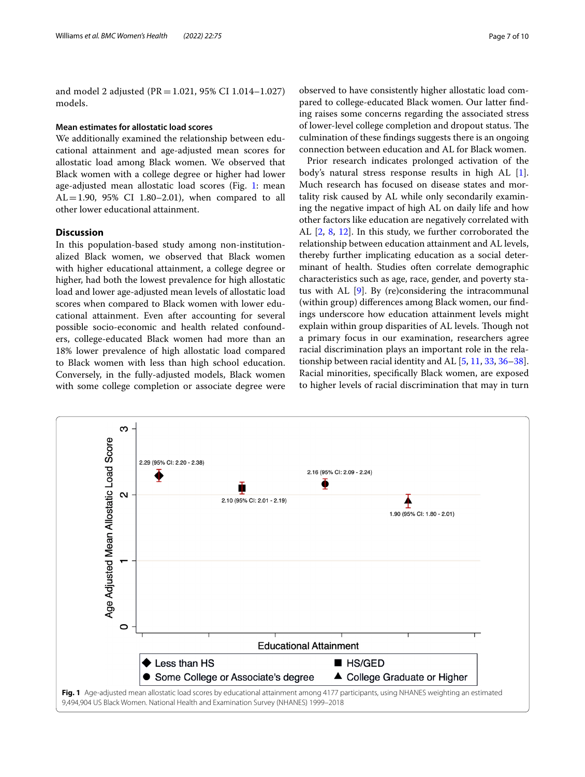and model 2 adjusted ( $PR = 1.021$ , 95% CI 1.014–1.027) models.

## **Mean estimates for allostatic load scores**

We additionally examined the relationship between educational attainment and age-adjusted mean scores for allostatic load among Black women. We observed that Black women with a college degree or higher had lower age-adjusted mean allostatic load scores (Fig. [1](#page-6-0): mean AL=1.90, 95% CI 1.80-2.01), when compared to all other lower educational attainment.

## **Discussion**

In this population-based study among non-institutionalized Black women, we observed that Black women with higher educational attainment, a college degree or higher, had both the lowest prevalence for high allostatic load and lower age-adjusted mean levels of allostatic load scores when compared to Black women with lower educational attainment. Even after accounting for several possible socio-economic and health related confounders, college-educated Black women had more than an 18% lower prevalence of high allostatic load compared to Black women with less than high school education. Conversely, in the fully-adjusted models, Black women with some college completion or associate degree were

observed to have consistently higher allostatic load compared to college-educated Black women. Our latter fnding raises some concerns regarding the associated stress of lower-level college completion and dropout status. The culmination of these fndings suggests there is an ongoing connection between education and AL for Black women.

Prior research indicates prolonged activation of the body's natural stress response results in high AL [\[1](#page-8-0)]. Much research has focused on disease states and mortality risk caused by AL while only secondarily examining the negative impact of high AL on daily life and how other factors like education are negatively correlated with AL [[2,](#page-8-4) [8](#page-8-7), [12\]](#page-9-1). In this study, we further corroborated the relationship between education attainment and AL levels, thereby further implicating education as a social determinant of health. Studies often correlate demographic characteristics such as age, race, gender, and poverty status with AL [\[9](#page-8-8)]. By (re)considering the intracommunal (within group) diferences among Black women, our fndings underscore how education attainment levels might explain within group disparities of AL levels. Though not a primary focus in our examination, researchers agree racial discrimination plays an important role in the relationship between racial identity and AL [[5,](#page-8-3) [11](#page-9-0), [33](#page-9-18), [36](#page-9-21)[–38](#page-9-22)]. Racial minorities, specifcally Black women, are exposed to higher levels of racial discrimination that may in turn

<span id="page-6-0"></span>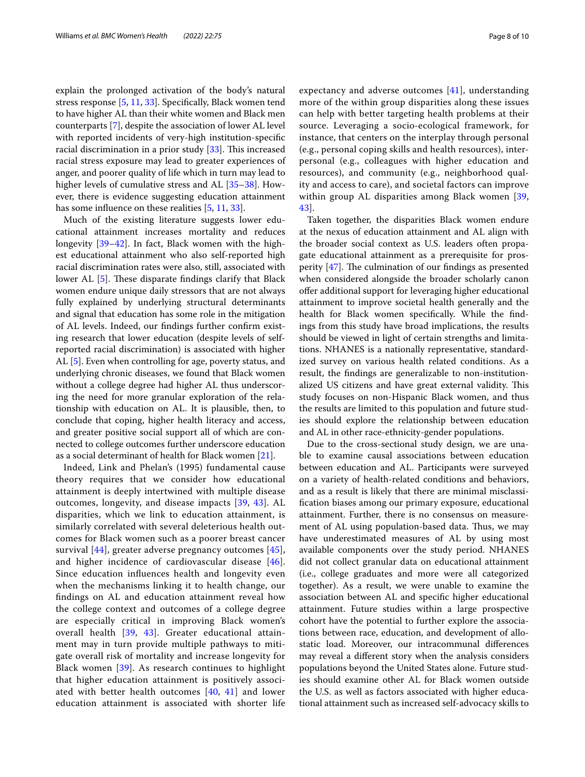explain the prolonged activation of the body's natural stress response [[5,](#page-8-3) [11,](#page-9-0) [33](#page-9-18)]. Specifcally, Black women tend to have higher AL than their white women and Black men counterparts [[7\]](#page-8-6), despite the association of lower AL level with reported incidents of very-high institution-specifc racial discrimination in a prior study  $[33]$  $[33]$ . This increased racial stress exposure may lead to greater experiences of anger, and poorer quality of life which in turn may lead to higher levels of cumulative stress and AL [\[35](#page-9-20)[–38\]](#page-9-22). However, there is evidence suggesting education attainment has some influence on these realities [[5,](#page-8-3) [11](#page-9-0), [33](#page-9-18)].

Much of the existing literature suggests lower educational attainment increases mortality and reduces longevity [\[39](#page-9-23)–[42\]](#page-9-24). In fact, Black women with the highest educational attainment who also self-reported high racial discrimination rates were also, still, associated with lower AL  $[5]$  $[5]$ . These disparate findings clarify that Black women endure unique daily stressors that are not always fully explained by underlying structural determinants and signal that education has some role in the mitigation of AL levels. Indeed, our fndings further confrm existing research that lower education (despite levels of selfreported racial discrimination) is associated with higher AL [[5\]](#page-8-3). Even when controlling for age, poverty status, and underlying chronic diseases, we found that Black women without a college degree had higher AL thus underscoring the need for more granular exploration of the relationship with education on AL. It is plausible, then, to conclude that coping, higher health literacy and access, and greater positive social support all of which are connected to college outcomes further underscore education as a social determinant of health for Black women [\[21](#page-9-8)].

Indeed, Link and Phelan's (1995) fundamental cause theory requires that we consider how educational attainment is deeply intertwined with multiple disease outcomes, longevity, and disease impacts [[39](#page-9-23), [43](#page-9-25)]. AL disparities, which we link to education attainment, is similarly correlated with several deleterious health outcomes for Black women such as a poorer breast cancer survival [[44](#page-9-26)], greater adverse pregnancy outcomes [[45\]](#page-9-27), and higher incidence of cardiovascular disease [[46\]](#page-9-28). Since education infuences health and longevity even when the mechanisms linking it to health change, our fndings on AL and education attainment reveal how the college context and outcomes of a college degree are especially critical in improving Black women's overall health [[39,](#page-9-23) [43\]](#page-9-25). Greater educational attainment may in turn provide multiple pathways to mitigate overall risk of mortality and increase longevity for Black women [\[39\]](#page-9-23). As research continues to highlight that higher education attainment is positively associated with better health outcomes [[40](#page-9-29), [41](#page-9-30)] and lower education attainment is associated with shorter life expectancy and adverse outcomes [[41](#page-9-30)], understanding more of the within group disparities along these issues can help with better targeting health problems at their source. Leveraging a socio-ecological framework, for instance, that centers on the interplay through personal (e.g., personal coping skills and health resources), interpersonal (e.g., colleagues with higher education and resources), and community (e.g., neighborhood quality and access to care), and societal factors can improve within group AL disparities among Black women [\[39](#page-9-23), [43\]](#page-9-25).

Taken together, the disparities Black women endure at the nexus of education attainment and AL align with the broader social context as U.S. leaders often propagate educational attainment as a prerequisite for prosperity  $[47]$  $[47]$ . The culmination of our findings as presented when considered alongside the broader scholarly canon ofer additional support for leveraging higher educational attainment to improve societal health generally and the health for Black women specifcally. While the fndings from this study have broad implications, the results should be viewed in light of certain strengths and limitations. NHANES is a nationally representative, standardized survey on various health related conditions. As a result, the fndings are generalizable to non-institutionalized US citizens and have great external validity. This study focuses on non-Hispanic Black women, and thus the results are limited to this population and future studies should explore the relationship between education and AL in other race-ethnicity-gender populations.

Due to the cross-sectional study design, we are unable to examine causal associations between education between education and AL. Participants were surveyed on a variety of health-related conditions and behaviors, and as a result is likely that there are minimal misclassifcation biases among our primary exposure, educational attainment. Further, there is no consensus on measurement of AL using population-based data. Thus, we may have underestimated measures of AL by using most available components over the study period. NHANES did not collect granular data on educational attainment (i.e., college graduates and more were all categorized together). As a result, we were unable to examine the association between AL and specifc higher educational attainment. Future studies within a large prospective cohort have the potential to further explore the associations between race, education, and development of allostatic load. Moreover, our intracommunal diferences may reveal a diferent story when the analysis considers populations beyond the United States alone. Future studies should examine other AL for Black women outside the U.S. as well as factors associated with higher educational attainment such as increased self-advocacy skills to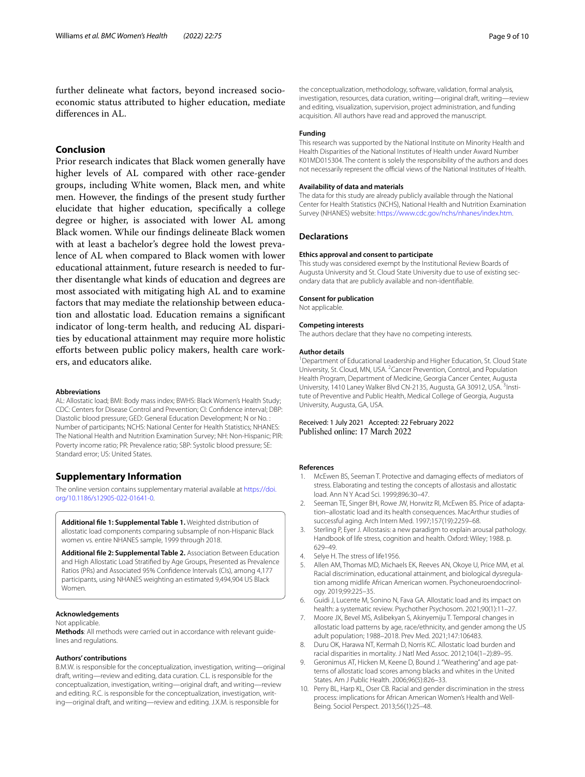further delineate what factors, beyond increased socioeconomic status attributed to higher education, mediate diferences in AL.

## **Conclusion**

Prior research indicates that Black women generally have higher levels of AL compared with other race-gender groups, including White women, Black men, and white men. However, the fndings of the present study further elucidate that higher education, specifcally a college degree or higher, is associated with lower AL among Black women. While our fndings delineate Black women with at least a bachelor's degree hold the lowest prevalence of AL when compared to Black women with lower educational attainment, future research is needed to further disentangle what kinds of education and degrees are most associated with mitigating high AL and to examine factors that may mediate the relationship between education and allostatic load. Education remains a signifcant indicator of long-term health, and reducing AL disparities by educational attainment may require more holistic efforts between public policy makers, health care workers, and educators alike.

#### **Abbreviations**

AL: Allostatic load; BMI: Body mass index; BWHS: Black Women's Health Study; CDC: Centers for Disease Control and Prevention; CI: Confdence interval; DBP: Diastolic blood pressure; GED: General Education Development; N or No. : Number of participants; NCHS: National Center for Health Statistics; NHANES: The National Health and Nutrition Examination Survey; NH: Non-Hispanic; PIR: Poverty income ratio; PR: Prevalence ratio; SBP: Systolic blood pressure; SE: Standard error; US: United States.

## **Supplementary Information**

The online version contains supplementary material available at [https://doi.](https://doi.org/10.1186/s12905-022-01641-0) [org/10.1186/s12905-022-01641-0](https://doi.org/10.1186/s12905-022-01641-0).

<span id="page-8-10"></span>**Additional fle 1: Supplemental Table 1.** Weighted distribution of allostatic load components comparing subsample of non-Hispanic Black women vs. entire NHANES sample, 1999 through 2018.

<span id="page-8-11"></span>**Additional fle 2: Supplemental Table 2.** Association Between Education and High Allostatic Load Stratifed by Age Groups, Presented as Prevalence Ratios (PRs) and Associated 95% Confdence Intervals (CIs), among 4,177 participants, using NHANES weighting an estimated 9,494,904 US Black Women.

## **Acknowledgements**

#### Not applicable.

**Methods**: All methods were carried out in accordance with relevant guidelines and regulations.

#### **Authors' contributions**

B.M.W. is responsible for the conceptualization, investigation, writing—original draft, writing—review and editing, data curation. C.L. is responsible for the conceptualization, investigation, writing—original draft, and writing—review and editing. R.C. is responsible for the conceptualization, investigation, writing—original draft, and writing—review and editing. J.X.M. is responsible for

the conceptualization, methodology, software, validation, formal analysis, investigation, resources, data curation, writing—original draft, writing—review and editing, visualization, supervision, project administration, and funding acquisition. All authors have read and approved the manuscript.

## **Funding**

This research was supported by the National Institute on Minority Health and Health Disparities of the National Institutes of Health under Award Number K01MD015304. The content is solely the responsibility of the authors and does not necessarily represent the official views of the National Institutes of Health.

#### **Availability of data and materials**

The data for this study are already publicly available through the National Center for Health Statistics (NCHS), National Health and Nutrition Examination Survey (NHANES) website:<https://www.cdc.gov/nchs/nhanes/index.htm>.

## **Declarations**

#### **Ethics approval and consent to participate**

This study was considered exempt by the Institutional Review Boards of Augusta University and St. Cloud State University due to use of existing secondary data that are publicly available and non-identifable.

## **Consent for publication**

Not applicable.

#### **Competing interests**

The authors declare that they have no competing interests.

#### **Author details**

<sup>1</sup> Department of Educational Leadership and Higher Education, St. Cloud State University, St. Cloud, MN, USA. <sup>2</sup> Cancer Prevention, Control, and Population Health Program, Department of Medicine, Georgia Cancer Center, Augusta University, 1410 Laney Walker Blvd CN-2135, Augusta, GA 30912, USA. <sup>3</sup>Institute of Preventive and Public Health, Medical College of Georgia, Augusta University, Augusta, GA, USA.

## Received: 1 July 2021 Accepted: 22 February 2022 Published online: 17 March 2022

#### **References**

- <span id="page-8-0"></span>1. McEwen BS, Seeman T. Protective and damaging efects of mediators of stress. Elaborating and testing the concepts of allostasis and allostatic load. Ann N Y Acad Sci. 1999;896:30–47.
- <span id="page-8-4"></span>2. Seeman TE, Singer BH, Rowe JW, Horwitz RI, McEwen BS. Price of adaptation–allostatic load and its health consequences. MacArthur studies of successful aging. Arch Intern Med. 1997;157(19):2259–68.
- <span id="page-8-1"></span>3. Sterling P, Eyer J. Allostasis: a new paradigm to explain arousal pathology. Handbook of life stress, cognition and health. Oxford: Wiley; 1988. p. 629–49.
- <span id="page-8-2"></span>4. Selye H. The stress of life1956.
- <span id="page-8-3"></span>5. Allen AM, Thomas MD, Michaels EK, Reeves AN, Okoye U, Price MM, et al. Racial discrimination, educational attainment, and biological dysregulation among midlife African American women. Psychoneuroendocrinology. 2019;99:225–35.
- <span id="page-8-5"></span>6. Guidi J, Lucente M, Sonino N, Fava GA. Allostatic load and its impact on health: a systematic review. Psychother Psychosom. 2021;90(1):11–27.
- <span id="page-8-6"></span>7. Moore JX, Bevel MS, Aslibekyan S, Akinyemiju T. Temporal changes in allostatic load patterns by age, race/ethnicity, and gender among the US adult population; 1988–2018. Prev Med. 2021;147:106483.
- <span id="page-8-7"></span>8. Duru OK, Harawa NT, Kermah D, Norris KC. Allostatic load burden and racial disparities in mortality. J Natl Med Assoc. 2012;104(1–2):89–95.
- <span id="page-8-8"></span>9. Geronimus AT, Hicken M, Keene D, Bound J. "Weathering" and age patterns of allostatic load scores among blacks and whites in the United States. Am J Public Health. 2006;96(5):826–33.
- <span id="page-8-9"></span>10. Perry BL, Harp KL, Oser CB. Racial and gender discrimination in the stress process: implications for African American Women's Health and Well-Being. Sociol Perspect. 2013;56(1):25–48.